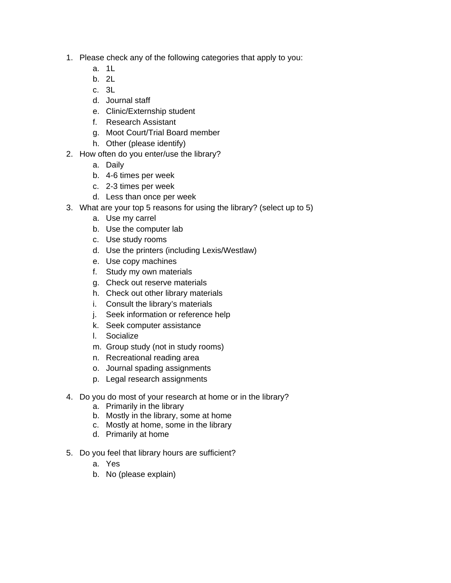- 1. Please check any of the following categories that apply to you:
	- a. 1L
	- b. 2L
	- c. 3L
	- d. Journal staff
	- e. Clinic/Externship student
	- f. Research Assistant
	- g. Moot Court/Trial Board member
	- h. Other (please identify)
- 2. How often do you enter/use the library?
	- a. Daily
	- b. 4-6 times per week
	- c. 2-3 times per week
	- d. Less than once per week
- 3. What are your top 5 reasons for using the library? (select up to 5)
	- a. Use my carrel
	- b. Use the computer lab
	- c. Use study rooms
	- d. Use the printers (including Lexis/Westlaw)
	- e. Use copy machines
	- f. Study my own materials
	- g. Check out reserve materials
	- h. Check out other library materials
	- i. Consult the library's materials
	- j. Seek information or reference help
	- k. Seek computer assistance
	- l. Socialize
	- m. Group study (not in study rooms)
	- n. Recreational reading area
	- o. Journal spading assignments
	- p. Legal research assignments
- 4. Do you do most of your research at home or in the library?
	- a. Primarily in the library
	- b. Mostly in the library, some at home
	- c. Mostly at home, some in the library
	- d. Primarily at home
- 5. Do you feel that library hours are sufficient?
	- a. Yes
	- b. No (please explain)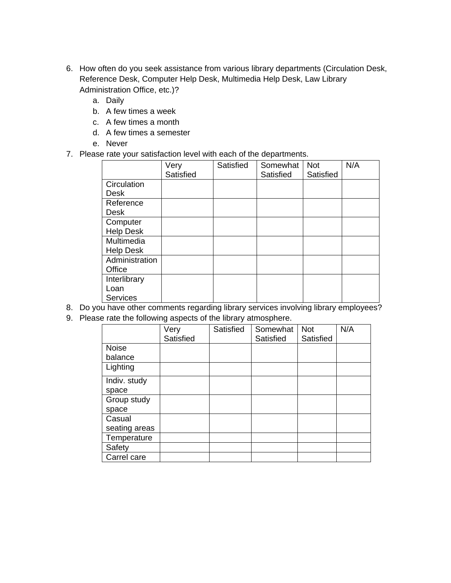- 6. How often do you seek assistance from various library departments (Circulation Desk, Reference Desk, Computer Help Desk, Multimedia Help Desk, Law Library Administration Office, etc.)?
	- a. Daily
	- b. A few times a week
	- c. A few times a month
	- d. A few times a semester
	- e. Never
- 7. Please rate your satisfaction level with each of the departments.

|                  | Very      | Satisfied | Somewhat  | <b>Not</b> | N/A |
|------------------|-----------|-----------|-----------|------------|-----|
|                  | Satisfied |           | Satisfied | Satisfied  |     |
| Circulation      |           |           |           |            |     |
| Desk             |           |           |           |            |     |
| Reference        |           |           |           |            |     |
| <b>Desk</b>      |           |           |           |            |     |
| Computer         |           |           |           |            |     |
| <b>Help Desk</b> |           |           |           |            |     |
| Multimedia       |           |           |           |            |     |
| <b>Help Desk</b> |           |           |           |            |     |
| Administration   |           |           |           |            |     |
| Office           |           |           |           |            |     |
| Interlibrary     |           |           |           |            |     |
| Loan             |           |           |           |            |     |
| <b>Services</b>  |           |           |           |            |     |

- 8. Do you have other comments regarding library services involving library employees?
- 9. Please rate the following aspects of the library atmosphere.

|               | Very<br>Satisfied | Satisfied | Somewhat<br>Satisfied | <b>Not</b><br>Satisfied | N/A |
|---------------|-------------------|-----------|-----------------------|-------------------------|-----|
| <b>Noise</b>  |                   |           |                       |                         |     |
| balance       |                   |           |                       |                         |     |
| Lighting      |                   |           |                       |                         |     |
| Indiv. study  |                   |           |                       |                         |     |
| space         |                   |           |                       |                         |     |
| Group study   |                   |           |                       |                         |     |
| space         |                   |           |                       |                         |     |
| Casual        |                   |           |                       |                         |     |
| seating areas |                   |           |                       |                         |     |
| Temperature   |                   |           |                       |                         |     |
| Safety        |                   |           |                       |                         |     |
| Carrel care   |                   |           |                       |                         |     |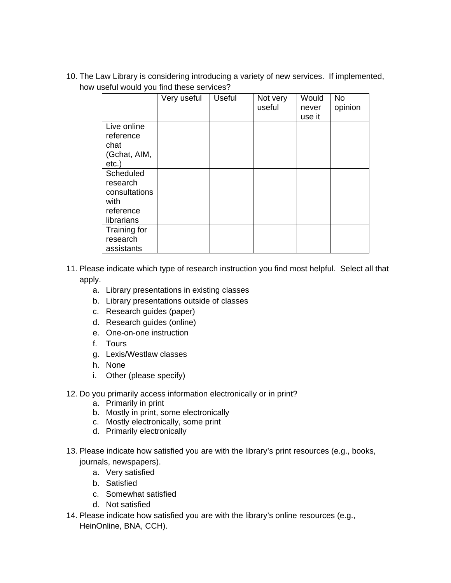10. The Law Library is considering introducing a variety of new services. If implemented, how useful would you find these services?

|                                                                           | Very useful | Useful | Not very<br>useful | Would<br>never | No<br>opinion |
|---------------------------------------------------------------------------|-------------|--------|--------------------|----------------|---------------|
| Live online<br>reference<br>chat<br>(Gchat, AIM,<br>$etc.$ )              |             |        |                    | use it         |               |
| Scheduled<br>research<br>consultations<br>with<br>reference<br>librarians |             |        |                    |                |               |
| Training for<br>research<br>assistants                                    |             |        |                    |                |               |

- 11. Please indicate which type of research instruction you find most helpful. Select all that apply.
	- a. Library presentations in existing classes
	- b. Library presentations outside of classes
	- c. Research guides (paper)
	- d. Research guides (online)
	- e. One-on-one instruction
	- f. Tours
	- g. Lexis/Westlaw classes
	- h. None
	- i. Other (please specify)
- 12. Do you primarily access information electronically or in print?
	- a. Primarily in print
	- b. Mostly in print, some electronically
	- c. Mostly electronically, some print
	- d. Primarily electronically
- 13. Please indicate how satisfied you are with the library's print resources (e.g., books, journals, newspapers).
	- a. Very satisfied
	- b. Satisfied
	- c. Somewhat satisfied
	- d. Not satisfied
- 14. Please indicate how satisfied you are with the library's online resources (e.g., HeinOnline, BNA, CCH).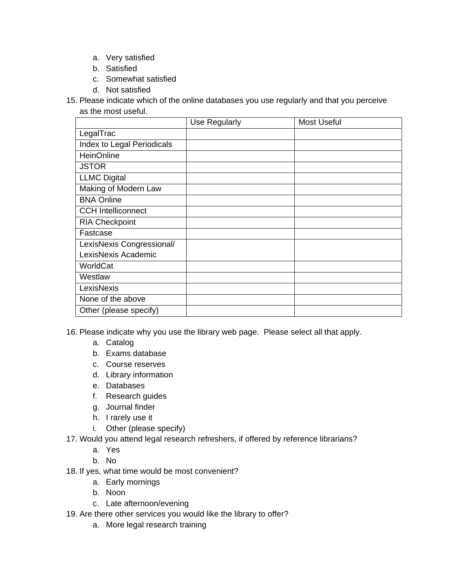- a. Very satisfied
- b. Satisfied
- c. Somewhat satisfied
- d. Not satisfied
- 15. Please indicate which of the online databases you use regularly and that you perceive as the most useful.

|                            | Use Regularly | <b>Most Useful</b> |
|----------------------------|---------------|--------------------|
| LegalTrac                  |               |                    |
| Index to Legal Periodicals |               |                    |
| HeinOnline                 |               |                    |
| <b>JSTOR</b>               |               |                    |
| <b>LLMC Digital</b>        |               |                    |
| Making of Modern Law       |               |                    |
| <b>BNA Online</b>          |               |                    |
| <b>CCH Intelliconnect</b>  |               |                    |
| <b>RIA Checkpoint</b>      |               |                    |
| Fastcase                   |               |                    |
| LexisNexis Congressional/  |               |                    |
| LexisNexis Academic        |               |                    |
| WorldCat                   |               |                    |
| Westlaw                    |               |                    |
| LexisNexis                 |               |                    |
| None of the above          |               |                    |
| Other (please specify)     |               |                    |

- 16. Please indicate why you use the library web page. Please select all that apply.
	- a. Catalog
	- b. Exams database
	- c. Course reserves
	- d. Library information
	- e. Databases
	- f. Research guides
	- g. Journal finder
	- h. I rarely use it
	- i. Other (please specify)
- 17. Would you attend legal research refreshers, if offered by reference librarians?
	- a. Yes
	- b. No
- 18. If yes, what time would be most convenient?
	- a. Early mornings
	- b. Noon
	- c. Late afternoon/evening
- 19. Are there other services you would like the library to offer?
	- a. More legal research training